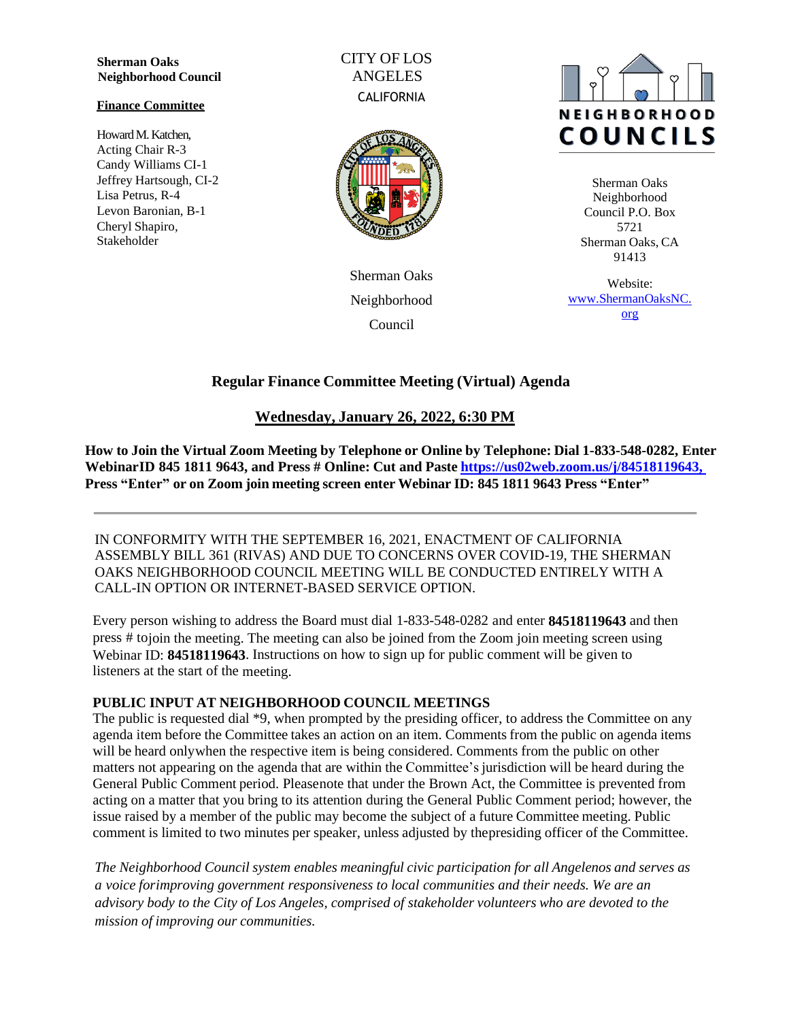**Sherman Oaks Neighborhood Council**

#### **Finance Committee**

Howard M. Katchen, Acting Chair R-3 Candy Williams CI-1 Jeffrey Hartsough, CI-2 Lisa Petrus, R-4 Levon Baronian, B-1 Cheryl Shapiro, Stakeholder

CITY OF LOS ANGELES **CALIFORNIA** 



Sherman Oaks Neighborhood Council



Sherman Oaks Neighborhood Council P.O. Box 5721 Sherman Oaks, CA 91413

Website: [www.ShermanOaksNC.](http://www.shermanoaksnc.org/) [org](http://www.shermanoaksnc.org/)

# **Regular Finance Committee Meeting (Virtual) Agenda**

# **Wednesday, January 26, 2022, 6:30 PM**

**How to Join the Virtual Zoom Meeting by Telephone or Online by Telephone: Dial 1-833-548-0282, Enter WebinarID 845 1811 9643, and Press # Online: Cut and Paste [https://us02web.zoom.us/j/84518119643,](https://us02web.zoom.us/j/84518119643) Press "Enter" or on Zoom join meeting screen enter Webinar ID: 845 1811 9643 Press "Enter"**

IN CONFORMITY WITH THE SEPTEMBER 16, 2021, ENACTMENT OF CALIFORNIA ASSEMBLY BILL 361 (RIVAS) AND DUE TO CONCERNS OVER COVID-19, THE SHERMAN OAKS NEIGHBORHOOD COUNCIL MEETING WILL BE CONDUCTED ENTIRELY WITH A CALL-IN OPTION OR INTERNET-BASED SERVICE OPTION.

Every person wishing to address the Board must dial 1-833-548-0282 and enter **84518119643** and then press # tojoin the meeting. The meeting can also be joined from the Zoom join meeting screen using Webinar ID: **84518119643**. Instructions on how to sign up for public comment will be given to listeners at the start of the meeting.

## **PUBLIC INPUT AT NEIGHBORHOOD COUNCIL MEETINGS**

The public is requested dial \*9, when prompted by the presiding officer, to address the Committee on any agenda item before the Committee takes an action on an item. Comments from the public on agenda items will be heard onlywhen the respective item is being considered. Comments from the public on other matters not appearing on the agenda that are within the Committee's jurisdiction will be heard during the General Public Comment period. Pleasenote that under the Brown Act, the Committee is prevented from acting on a matter that you bring to its attention during the General Public Comment period; however, the issue raised by a member of the public may become the subject of a future Committee meeting. Public comment is limited to two minutes per speaker, unless adjusted by thepresiding officer of the Committee.

*The Neighborhood Council system enables meaningful civic participation for all Angelenos and serves as a voice forimproving government responsiveness to local communities and their needs. We are an advisory body to the City of Los Angeles, comprised of stakeholder volunteers who are devoted to the mission of improving our communities.*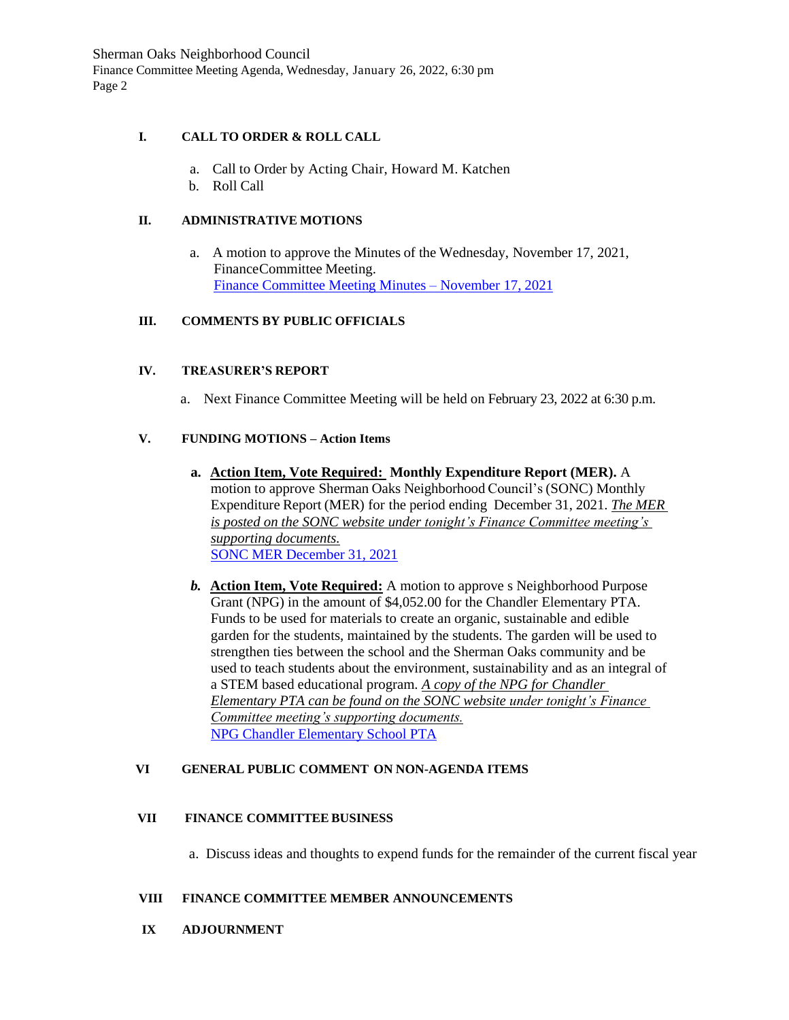Sherman Oaks Neighborhood Council Finance Committee Meeting Agenda, Wednesday, January 26, 2022, 6:30 pm Page 2

### **I. CALL TO ORDER & ROLL CALL**

- a. Call to Order by Acting Chair, Howard M. Katchen
- b. Roll Call

#### **II. ADMINISTRATIVE MOTIONS**

a. A motion to approve the Minutes of the Wednesday, November 17, 2021, FinanceCommittee Meeting. [Finance Committee Meeting Minutes](https://www.shermanoaksnc.org/ncfiles/viewCommitteeFile/28247) – November 17, 2021

### **III. COMMENTS BY PUBLIC OFFICIALS**

### **IV. TREASURER'S REPORT**

a. Next Finance Committee Meeting will be held on February 23, 2022 at 6:30 p.m.

### **V. FUNDING MOTIONS – Action Items**

- **a. Action Item, Vote Required: Monthly Expenditure Report (MER).** A motion to approve Sherman Oaks Neighborhood Council's (SONC) Monthly Expenditure Report (MER) for the period ending December 31, 2021. *The MER is posted on the SONC website under tonight's Finance Committee meeting's supporting documents.* [SONC MER December 31, 2021](https://www.shermanoaksnc.org/ncfiles/viewCommitteeFile/28246)
- *b.* **Action Item, Vote Required:** A motion to approve s Neighborhood Purpose Grant (NPG) in the amount of \$4,052.00 for the Chandler Elementary PTA. Funds to be used for materials to create an organic, sustainable and edible garden for the students, maintained by the students. The garden will be used to strengthen ties between the school and the Sherman Oaks community and be used to teach students about the environment, sustainability and as an integral of a STEM based educational program. *A copy of the NPG for Chandler Elementary PTA can be found on the SONC website under tonight's Finance Committee meeting's supporting documents.* [NPG Chandler Elementary School PTA](https://www.shermanoaksnc.org/ncfiles/viewCommitteeFile/28248)

#### **VI GENERAL PUBLIC COMMENT ON NON-AGENDA ITEMS**

#### **VII FINANCE COMMITTEE BUSINESS**

a. Discuss ideas and thoughts to expend funds for the remainder of the current fiscal year

#### **VIII FINANCE COMMITTEE MEMBER ANNOUNCEMENTS**

**IX ADJOURNMENT**